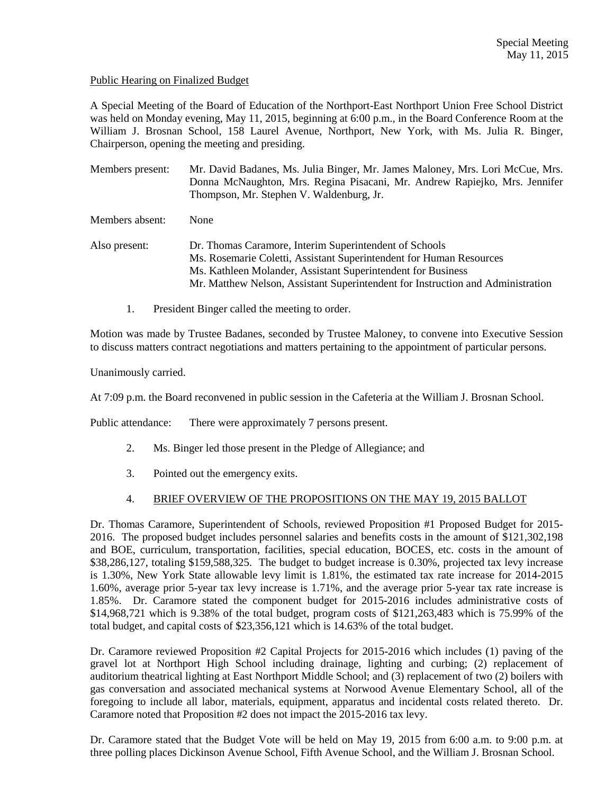### Public Hearing on Finalized Budget

A Special Meeting of the Board of Education of the Northport-East Northport Union Free School District was held on Monday evening, May 11, 2015, beginning at 6:00 p.m., in the Board Conference Room at the William J. Brosnan School, 158 Laurel Avenue, Northport, New York, with Ms. Julia R. Binger, Chairperson, opening the meeting and presiding.

Members present: Mr. David Badanes, Ms. Julia Binger, Mr. James Maloney, Mrs. Lori McCue, Mrs. Donna McNaughton, Mrs. Regina Pisacani, Mr. Andrew Rapiejko, Mrs. Jennifer Thompson, Mr. Stephen V. Waldenburg, Jr.

Members absent: None

- Also present: Dr. Thomas Caramore, Interim Superintendent of Schools Ms. Rosemarie Coletti, Assistant Superintendent for Human Resources Ms. Kathleen Molander, Assistant Superintendent for Business Mr. Matthew Nelson, Assistant Superintendent for Instruction and Administration
	- 1. President Binger called the meeting to order.

Motion was made by Trustee Badanes, seconded by Trustee Maloney, to convene into Executive Session to discuss matters contract negotiations and matters pertaining to the appointment of particular persons.

Unanimously carried.

At 7:09 p.m. the Board reconvened in public session in the Cafeteria at the William J. Brosnan School.

Public attendance: There were approximately 7 persons present.

- 2. Ms. Binger led those present in the Pledge of Allegiance; and
- 3. Pointed out the emergency exits.

# 4. BRIEF OVERVIEW OF THE PROPOSITIONS ON THE MAY 19, 2015 BALLOT

Dr. Thomas Caramore, Superintendent of Schools, reviewed Proposition #1 Proposed Budget for 2015- 2016. The proposed budget includes personnel salaries and benefits costs in the amount of \$121,302,198 and BOE, curriculum, transportation, facilities, special education, BOCES, etc. costs in the amount of \$38,286,127, totaling \$159,588,325. The budget to budget increase is 0.30%, projected tax levy increase is 1.30%, New York State allowable levy limit is 1.81%, the estimated tax rate increase for 2014-2015 1.60%, average prior 5-year tax levy increase is 1.71%, and the average prior 5-year tax rate increase is 1.85%. Dr. Caramore stated the component budget for 2015-2016 includes administrative costs of \$14,968,721 which is 9.38% of the total budget, program costs of \$121,263,483 which is 75.99% of the total budget, and capital costs of \$23,356,121 which is 14.63% of the total budget.

Dr. Caramore reviewed Proposition #2 Capital Projects for 2015-2016 which includes (1) paving of the gravel lot at Northport High School including drainage, lighting and curbing; (2) replacement of auditorium theatrical lighting at East Northport Middle School; and (3) replacement of two (2) boilers with gas conversation and associated mechanical systems at Norwood Avenue Elementary School, all of the foregoing to include all labor, materials, equipment, apparatus and incidental costs related thereto. Dr. Caramore noted that Proposition #2 does not impact the 2015-2016 tax levy.

Dr. Caramore stated that the Budget Vote will be held on May 19, 2015 from 6:00 a.m. to 9:00 p.m. at three polling places Dickinson Avenue School, Fifth Avenue School, and the William J. Brosnan School.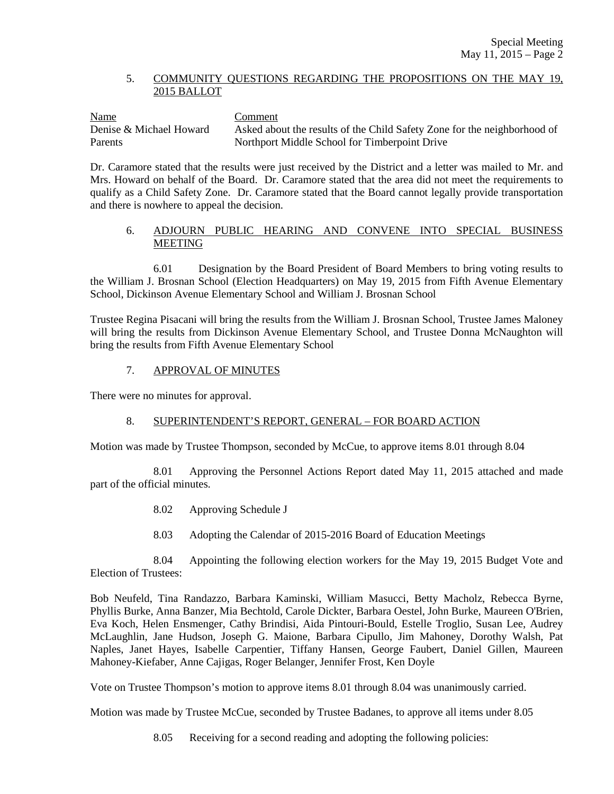### 5. COMMUNITY QUESTIONS REGARDING THE PROPOSITIONS ON THE MAY 19, 2015 BALLOT

Name Comment Denise & Michael Howard Asked about the results of the Child Safety Zone for the neighborhood of Parents Northport Middle School for Timberpoint Drive

Dr. Caramore stated that the results were just received by the District and a letter was mailed to Mr. and Mrs. Howard on behalf of the Board. Dr. Caramore stated that the area did not meet the requirements to qualify as a Child Safety Zone. Dr. Caramore stated that the Board cannot legally provide transportation and there is nowhere to appeal the decision.

# 6. ADJOURN PUBLIC HEARING AND CONVENE INTO SPECIAL BUSINESS MEETING

6.01 Designation by the Board President of Board Members to bring voting results to the William J. Brosnan School (Election Headquarters) on May 19, 2015 from Fifth Avenue Elementary School, Dickinson Avenue Elementary School and William J. Brosnan School

Trustee Regina Pisacani will bring the results from the William J. Brosnan School, Trustee James Maloney will bring the results from Dickinson Avenue Elementary School, and Trustee Donna McNaughton will bring the results from Fifth Avenue Elementary School

### 7. APPROVAL OF MINUTES

There were no minutes for approval.

# 8. SUPERINTENDENT'S REPORT, GENERAL – FOR BOARD ACTION

Motion was made by Trustee Thompson, seconded by McCue, to approve items 8.01 through 8.04

 8.01 Approving the Personnel Actions Report dated May 11, 2015 attached and made part of the official minutes.

- 8.02 Approving Schedule J
- 8.03 Adopting the Calendar of 2015-2016 Board of Education Meetings

 8.04 Appointing the following election workers for the May 19, 2015 Budget Vote and Election of Trustees:

Bob Neufeld, Tina Randazzo, Barbara Kaminski, William Masucci, Betty Macholz, Rebecca Byrne, Phyllis Burke, Anna Banzer, Mia Bechtold, Carole Dickter, Barbara Oestel, John Burke, Maureen O'Brien, Eva Koch, Helen Ensmenger, Cathy Brindisi, Aida Pintouri-Bould, Estelle Troglio, Susan Lee, Audrey McLaughlin, Jane Hudson, Joseph G. Maione, Barbara Cipullo, Jim Mahoney, Dorothy Walsh, Pat Naples, Janet Hayes, Isabelle Carpentier, Tiffany Hansen, George Faubert, Daniel Gillen, Maureen Mahoney-Kiefaber, Anne Cajigas, Roger Belanger, Jennifer Frost, Ken Doyle

Vote on Trustee Thompson's motion to approve items 8.01 through 8.04 was unanimously carried.

Motion was made by Trustee McCue, seconded by Trustee Badanes, to approve all items under 8.05

8.05 Receiving for a second reading and adopting the following policies: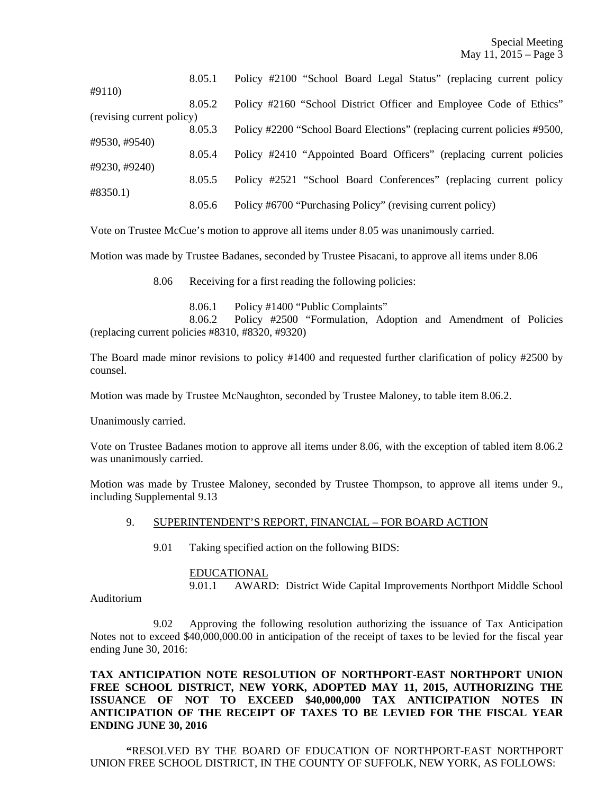|                           | 8.05.1 | Policy #2100 "School Board Legal Status" (replacing current policy       |
|---------------------------|--------|--------------------------------------------------------------------------|
| #9110)                    |        |                                                                          |
|                           | 8.05.2 | Policy #2160 "School District Officer and Employee Code of Ethics"       |
| (revising current policy) |        |                                                                          |
|                           | 8.05.3 | Policy #2200 "School Board Elections" (replacing current policies #9500, |
| #9530, #9540)             |        |                                                                          |
|                           | 8.05.4 | Policy #2410 "Appointed Board Officers" (replacing current policies      |
| #9230, #9240)             |        |                                                                          |
|                           | 8.05.5 | Policy #2521 "School Board Conferences" (replacing current policy        |
| #8350.1)                  |        |                                                                          |
|                           | 8.05.6 | Policy #6700 "Purchasing Policy" (revising current policy)               |

Vote on Trustee McCue's motion to approve all items under 8.05 was unanimously carried.

Motion was made by Trustee Badanes, seconded by Trustee Pisacani, to approve all items under 8.06

8.06 Receiving for a first reading the following policies:

8.06.1 Policy #1400 "Public Complaints"

 8.06.2 Policy #2500 "Formulation, Adoption and Amendment of Policies (replacing current policies #8310, #8320, #9320)

The Board made minor revisions to policy #1400 and requested further clarification of policy #2500 by counsel.

Motion was made by Trustee McNaughton, seconded by Trustee Maloney, to table item 8.06.2.

Unanimously carried.

Vote on Trustee Badanes motion to approve all items under 8.06, with the exception of tabled item 8.06.2 was unanimously carried.

Motion was made by Trustee Maloney, seconded by Trustee Thompson, to approve all items under 9., including Supplemental 9.13

#### 9. SUPERINTENDENT'S REPORT, FINANCIAL – FOR BOARD ACTION

9.01 Taking specified action on the following BIDS:

#### EDUCATIONAL

9.01.1 AWARD: District Wide Capital Improvements Northport Middle School

Auditorium

 9.02 Approving the following resolution authorizing the issuance of Tax Anticipation Notes not to exceed \$40,000,000.00 in anticipation of the receipt of taxes to be levied for the fiscal year ending June 30, 2016:

**TAX ANTICIPATION NOTE RESOLUTION OF NORTHPORT-EAST NORTHPORT UNION FREE SCHOOL DISTRICT, NEW YORK, ADOPTED MAY 11, 2015, AUTHORIZING THE ISSUANCE OF NOT TO EXCEED \$40,000,000 TAX ANTICIPATION NOTES IN ANTICIPATION OF THE RECEIPT OF TAXES TO BE LEVIED FOR THE FISCAL YEAR ENDING JUNE 30, 2016** 

**"**RESOLVED BY THE BOARD OF EDUCATION OF NORTHPORT-EAST NORTHPORT UNION FREE SCHOOL DISTRICT, IN THE COUNTY OF SUFFOLK, NEW YORK, AS FOLLOWS: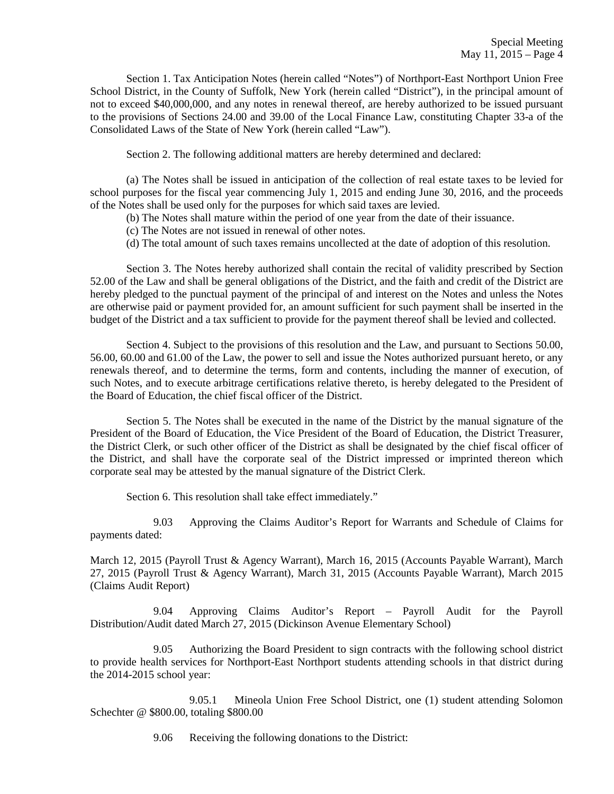Section 1. Tax Anticipation Notes (herein called "Notes") of Northport-East Northport Union Free School District, in the County of Suffolk, New York (herein called "District"), in the principal amount of not to exceed \$40,000,000, and any notes in renewal thereof, are hereby authorized to be issued pursuant to the provisions of Sections 24.00 and 39.00 of the Local Finance Law, constituting Chapter 33-a of the Consolidated Laws of the State of New York (herein called "Law").

Section 2. The following additional matters are hereby determined and declared:

(a) The Notes shall be issued in anticipation of the collection of real estate taxes to be levied for school purposes for the fiscal year commencing July 1, 2015 and ending June 30, 2016, and the proceeds of the Notes shall be used only for the purposes for which said taxes are levied.

- (b) The Notes shall mature within the period of one year from the date of their issuance.
- (c) The Notes are not issued in renewal of other notes.
- (d) The total amount of such taxes remains uncollected at the date of adoption of this resolution.

Section 3. The Notes hereby authorized shall contain the recital of validity prescribed by Section 52.00 of the Law and shall be general obligations of the District, and the faith and credit of the District are hereby pledged to the punctual payment of the principal of and interest on the Notes and unless the Notes are otherwise paid or payment provided for, an amount sufficient for such payment shall be inserted in the budget of the District and a tax sufficient to provide for the payment thereof shall be levied and collected.

Section 4. Subject to the provisions of this resolution and the Law, and pursuant to Sections 50.00, 56.00, 60.00 and 61.00 of the Law, the power to sell and issue the Notes authorized pursuant hereto, or any renewals thereof, and to determine the terms, form and contents, including the manner of execution, of such Notes, and to execute arbitrage certifications relative thereto, is hereby delegated to the President of the Board of Education, the chief fiscal officer of the District.

Section 5. The Notes shall be executed in the name of the District by the manual signature of the President of the Board of Education, the Vice President of the Board of Education, the District Treasurer, the District Clerk, or such other officer of the District as shall be designated by the chief fiscal officer of the District, and shall have the corporate seal of the District impressed or imprinted thereon which corporate seal may be attested by the manual signature of the District Clerk.

Section 6. This resolution shall take effect immediately."

 9.03 Approving the Claims Auditor's Report for Warrants and Schedule of Claims for payments dated:

March 12, 2015 (Payroll Trust & Agency Warrant), March 16, 2015 (Accounts Payable Warrant), March 27, 2015 (Payroll Trust & Agency Warrant), March 31, 2015 (Accounts Payable Warrant), March 2015 (Claims Audit Report)

 9.04 Approving Claims Auditor's Report – Payroll Audit for the Payroll Distribution/Audit dated March 27, 2015 (Dickinson Avenue Elementary School)

 9.05 Authorizing the Board President to sign contracts with the following school district to provide health services for Northport-East Northport students attending schools in that district during the 2014-2015 school year:

 9.05.1 Mineola Union Free School District, one (1) student attending Solomon Schechter @ \$800.00, totaling \$800.00

9.06 Receiving the following donations to the District: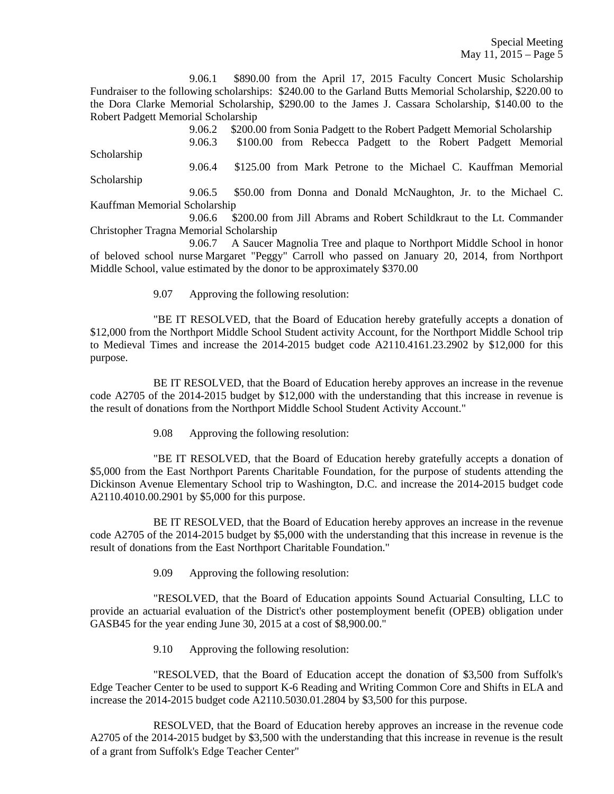9.06.1 \$890.00 from the April 17, 2015 Faculty Concert Music Scholarship Fundraiser to the following scholarships: \$240.00 to the Garland Butts Memorial Scholarship, \$220.00 to the Dora Clarke Memorial Scholarship, \$290.00 to the James J. Cassara Scholarship, \$140.00 to the Robert Padgett Memorial Scholarship

 9.06.2 \$200.00 from Sonia Padgett to the Robert Padgett Memorial Scholarship 9.06.3 \$100.00 from Rebecca Padgett to the Robert Padgett Memorial Scholarship 9.06.4 \$125.00 from Mark Petrone to the Michael C. Kauffman Memorial Scholarship 9.06.5 \$50.00 from Donna and Donald McNaughton, Jr. to the Michael C. Kauffman Memorial Scholarship 9.06.6 \$200.00 from Jill Abrams and Robert Schildkraut to the Lt. Commander

Christopher Tragna Memorial Scholarship

 9.06.7 A Saucer Magnolia Tree and plaque to Northport Middle School in honor of beloved school nurse Margaret "Peggy" Carroll who passed on January 20, 2014, from Northport Middle School, value estimated by the donor to be approximately \$370.00

9.07 Approving the following resolution:

 "BE IT RESOLVED, that the Board of Education hereby gratefully accepts a donation of \$12,000 from the Northport Middle School Student activity Account, for the Northport Middle School trip to Medieval Times and increase the 2014-2015 budget code A2110.4161.23.2902 by \$12,000 for this purpose.

 BE IT RESOLVED, that the Board of Education hereby approves an increase in the revenue code A2705 of the 2014-2015 budget by \$12,000 with the understanding that this increase in revenue is the result of donations from the Northport Middle School Student Activity Account."

9.08 Approving the following resolution:

 "BE IT RESOLVED, that the Board of Education hereby gratefully accepts a donation of \$5,000 from the East Northport Parents Charitable Foundation, for the purpose of students attending the Dickinson Avenue Elementary School trip to Washington, D.C. and increase the 2014-2015 budget code A2110.4010.00.2901 by \$5,000 for this purpose.

 BE IT RESOLVED, that the Board of Education hereby approves an increase in the revenue code A2705 of the 2014-2015 budget by \$5,000 with the understanding that this increase in revenue is the result of donations from the East Northport Charitable Foundation."

9.09 Approving the following resolution:

 "RESOLVED, that the Board of Education appoints Sound Actuarial Consulting, LLC to provide an actuarial evaluation of the District's other postemployment benefit (OPEB) obligation under GASB45 for the year ending June 30, 2015 at a cost of \$8,900.00."

9.10 Approving the following resolution:

 "RESOLVED, that the Board of Education accept the donation of \$3,500 from Suffolk's Edge Teacher Center to be used to support K-6 Reading and Writing Common Core and Shifts in ELA and increase the 2014-2015 budget code A2110.5030.01.2804 by \$3,500 for this purpose.

 RESOLVED, that the Board of Education hereby approves an increase in the revenue code A2705 of the 2014-2015 budget by \$3,500 with the understanding that this increase in revenue is the result of a grant from Suffolk's Edge Teacher Center"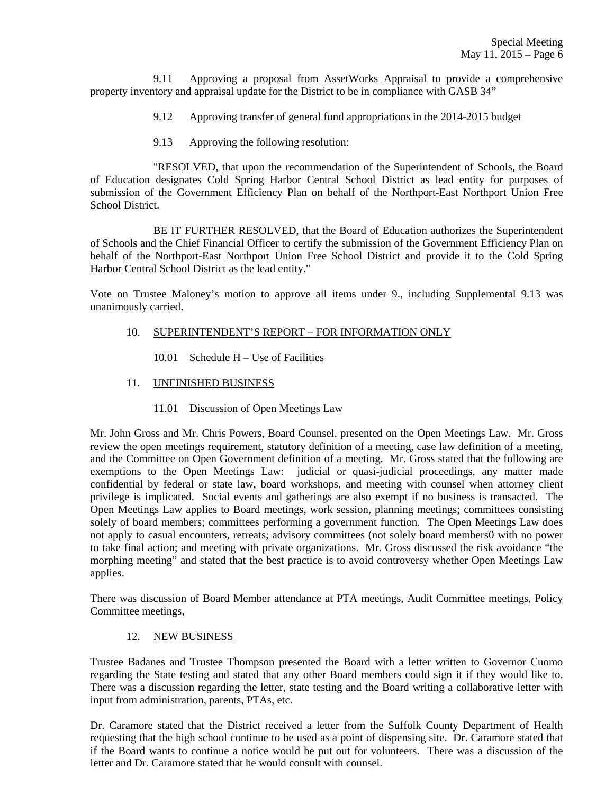9.11 Approving a proposal from AssetWorks Appraisal to provide a comprehensive property inventory and appraisal update for the District to be in compliance with GASB 34"

- 9.12 Approving transfer of general fund appropriations in the 2014-2015 budget
- 9.13 Approving the following resolution:

 "RESOLVED, that upon the recommendation of the Superintendent of Schools, the Board of Education designates Cold Spring Harbor Central School District as lead entity for purposes of submission of the Government Efficiency Plan on behalf of the Northport-East Northport Union Free School District.

 BE IT FURTHER RESOLVED, that the Board of Education authorizes the Superintendent of Schools and the Chief Financial Officer to certify the submission of the Government Efficiency Plan on behalf of the Northport-East Northport Union Free School District and provide it to the Cold Spring Harbor Central School District as the lead entity."

Vote on Trustee Maloney's motion to approve all items under 9., including Supplemental 9.13 was unanimously carried.

# 10. SUPERINTENDENT'S REPORT – FOR INFORMATION ONLY

- 10.01 Schedule H Use of Facilities
- 11. UNFINISHED BUSINESS
	- 11.01 Discussion of Open Meetings Law

Mr. John Gross and Mr. Chris Powers, Board Counsel, presented on the Open Meetings Law. Mr. Gross review the open meetings requirement, statutory definition of a meeting, case law definition of a meeting, and the Committee on Open Government definition of a meeting. Mr. Gross stated that the following are exemptions to the Open Meetings Law: judicial or quasi-judicial proceedings, any matter made confidential by federal or state law, board workshops, and meeting with counsel when attorney client privilege is implicated. Social events and gatherings are also exempt if no business is transacted. The Open Meetings Law applies to Board meetings, work session, planning meetings; committees consisting solely of board members; committees performing a government function. The Open Meetings Law does not apply to casual encounters, retreats; advisory committees (not solely board members0 with no power to take final action; and meeting with private organizations. Mr. Gross discussed the risk avoidance "the morphing meeting" and stated that the best practice is to avoid controversy whether Open Meetings Law applies.

There was discussion of Board Member attendance at PTA meetings, Audit Committee meetings, Policy Committee meetings,

# 12. NEW BUSINESS

Trustee Badanes and Trustee Thompson presented the Board with a letter written to Governor Cuomo regarding the State testing and stated that any other Board members could sign it if they would like to. There was a discussion regarding the letter, state testing and the Board writing a collaborative letter with input from administration, parents, PTAs, etc.

Dr. Caramore stated that the District received a letter from the Suffolk County Department of Health requesting that the high school continue to be used as a point of dispensing site. Dr. Caramore stated that if the Board wants to continue a notice would be put out for volunteers. There was a discussion of the letter and Dr. Caramore stated that he would consult with counsel.